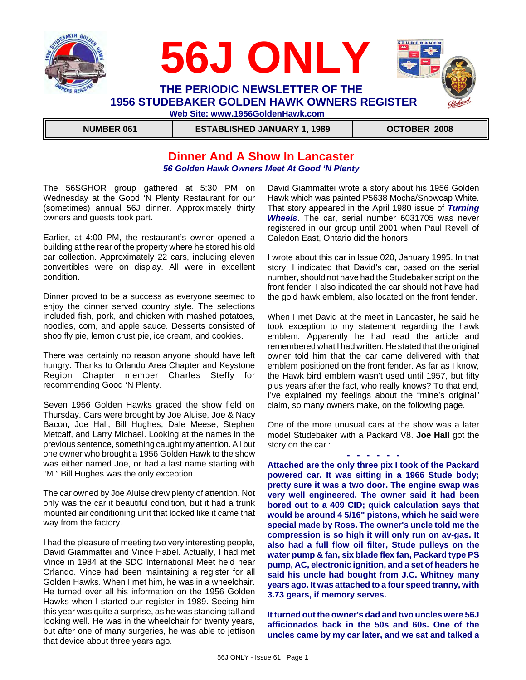



**NUMBER 061 ESTABLISHED JANUARY 1, 1989 OCTOBER 2008** 

# **Dinner And A Show In Lancaster** *56 Golden Hawk Owners Meet At Good 'N Plenty*

The 56SGHOR group gathered at 5:30 PM on Wednesday at the Good 'N Plenty Restaurant for our (sometimes) annual 56J dinner. Approximately thirty owners and guests took part.

Earlier, at 4:00 PM, the restaurant's owner opened a building at the rear of the property where he stored his old car collection. Approximately 22 cars, including eleven convertibles were on display. All were in excellent condition.

Dinner proved to be a success as everyone seemed to enjoy the dinner served country style. The selections included fish, pork, and chicken with mashed potatoes, noodles, corn, and apple sauce. Desserts consisted of shoo fly pie, lemon crust pie, ice cream, and cookies.

There was certainly no reason anyone should have left hungry. Thanks to Orlando Area Chapter and Keystone Region Chapter member Charles Steffy for recommending Good 'N Plenty.

Seven 1956 Golden Hawks graced the show field on Thursday. Cars were brought by Joe Aluise, Joe & Nacy Bacon, Joe Hall, Bill Hughes, Dale Meese, Stephen Metcalf, and Larry Michael. Looking at the names in the previous sentence, something caught my attention. All but one owner who brought a 1956 Golden Hawk to the show was either named Joe, or had a last name starting with "M." Bill Hughes was the only exception.

The car owned by Joe Aluise drew plenty of attention. Not only was the car it beautiful condition, but it had a trunk mounted air conditioning unit that looked like it came that way from the factory.

I had the pleasure of meeting two very interesting people, David Giammattei and Vince Habel. Actually, I had met Vince in 1984 at the SDC International Meet held near Orlando. Vince had been maintaining a register for all Golden Hawks. When I met him, he was in a wheelchair. He turned over all his information on the 1956 Golden Hawks when I started our register in 1989. Seeing him this year was quite a surprise, as he was standing tall and looking well. He was in the wheelchair for twenty years, but after one of many surgeries, he was able to jettison that device about three years ago.

David Giammattei wrote a story about his 1956 Golden Hawk which was painted P5638 Mocha/Snowcap White. That story appeared in the April 1980 issue of *Turning Wheels*. The car, serial number 6031705 was never registered in our group until 2001 when Paul Revell of Caledon East, Ontario did the honors.

I wrote about this car in Issue 020, January 1995. In that story, I indicated that David's car, based on the serial number, should not have had the Studebaker script on the front fender. I also indicated the car should not have had the gold hawk emblem, also located on the front fender.

When I met David at the meet in Lancaster, he said he took exception to my statement regarding the hawk emblem. Apparently he had read the article and remembered what I had written. He stated that the original owner told him that the car came delivered with that emblem positioned on the front fender. As far as I know, the Hawk bird emblem wasn't used until 1957, but fifty plus years after the fact, who really knows? To that end, I've explained my feelings about the "mine's original" claim, so many owners make, on the following page.

One of the more unusual cars at the show was a later model Studebaker with a Packard V8. **Joe Hall** got the story on the car.:

**- - - - - - Attached are the only three pix I took of the Packard powered car. It was sitting in a 1966 Stude body; pretty sure it was a two door. The engine swap was very well engineered. The owner said it had been bored out to a 409 CID; quick calculation says that would be around 4 5/16" pistons, which he said were special made by Ross. The owner's uncle told me the compression is so high it will only run on av-gas. It also had a full flow oil filter, Stude pulleys on the water pump & fan, six blade flex fan, Packard type PS pump, AC, electronic ignition, and a set of headers he said his uncle had bought from J.C. Whitney many years ago. It was attached to a four speed tranny, with 3.73 gears, if memory serves.**

**It turned out the owner's dad and two uncles were 56J afficionados back in the 50s and 60s. One of the uncles came by my car later, and we sat and talked a**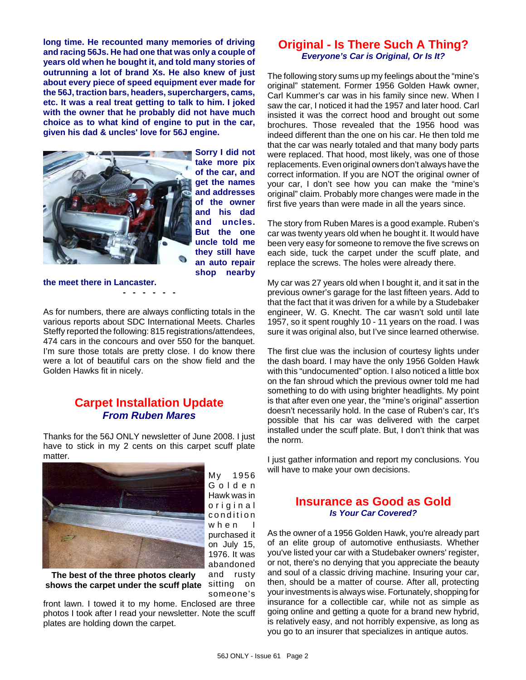**long time. He recounted many memories of driving and racing 56Js. He had one that was only a couple of years old when he bought it, and told many stories of outrunning a lot of brand Xs. He also knew of just about every piece of speed equipment ever made for the 56J, traction bars, headers, superchargers, cams, etc. It was a real treat getting to talk to him. I joked with the owner that he probably did not have much choice as to what kind of engine to put in the car, given his dad & uncles' love for 56J engine.**



**Sorry I did not take more pix of the car, and get the names and addresses of the owner and his dad and uncles. But the one uncle told me they still have an auto repair shop nearby**

**the meet there in Lancaster. - - - - - -**

As for numbers, there are always conflicting totals in the various reports about SDC International Meets. Charles Steffy reported the following: 815 registrations/attendees, 474 cars in the concours and over 550 for the banquet. I'm sure those totals are pretty close. I do know there were a lot of beautiful cars on the show field and the Golden Hawks fit in nicely.

# **Carpet Installation Update** *From Ruben Mares*

Thanks for the 56J ONLY newsletter of June 2008. I just have to stick in my 2 cents on this carpet scuff plate matter.



My 1956 Golden Hawk was in original condition when I purchased it on July 15, 1976. It was abandoned

shows the carpet under the scuff plate sitting on **The best of the three photos clearly**

and rusty someone's

front lawn. I towed it to my home. Enclosed are three photos I took after I read your newsletter. Note the scuff plates are holding down the carpet.

## **Original - Is There Such A Thing?** *Everyone's Car is Original, Or Is It?*

The following story sums up my feelings about the "mine's original" statement. Former 1956 Golden Hawk owner, Carl Kummer's car was in his family since new. When I saw the car, I noticed it had the 1957 and later hood. Carl insisted it was the correct hood and brought out some brochures. Those revealed that the 1956 hood was indeed different than the one on his car. He then told me that the car was nearly totaled and that many body parts were replaced. That hood, most likely, was one of those replacements. Even original owners don't always have the correct information. If you are NOT the original owner of your car, I don't see how you can make the "mine's original" claim. Probably more changes were made in the first five years than were made in all the years since.

The story from Ruben Mares is a good example. Ruben's car was twenty years old when he bought it. It would have been very easy for someone to remove the five screws on each side, tuck the carpet under the scuff plate, and replace the screws. The holes were already there.

My car was 27 years old when I bought it, and it sat in the previous owner's garage for the last fifteen years. Add to that the fact that it was driven for a while by a Studebaker engineer, W. G. Knecht. The car wasn't sold until late 1957, so it spent roughly 10 - 11 years on the road. I was sure it was original also, but I've since learned otherwise.

The first clue was the inclusion of courtesy lights under the dash board. I may have the only 1956 Golden Hawk with this "undocumented" option. I also noticed a little box on the fan shroud which the previous owner told me had something to do with using brighter headlights. My point is that after even one year, the "mine's original" assertion doesn't necessarily hold. In the case of Ruben's car, It's possible that his car was delivered with the carpet installed under the scuff plate. But, I don't think that was the norm.

I just gather information and report my conclusions. You will have to make your own decisions.

## **Insurance as Good as Gold** *Is Your Car Covered?*

As the owner of a 1956 Golden Hawk, you're already part of an elite group of automotive enthusiasts. Whether you've listed your car with a Studebaker owners' register, or not, there's no denying that you appreciate the beauty and soul of a classic driving machine. Insuring your car, then, should be a matter of course. After all, protecting your investments is always wise. Fortunately, shopping for insurance for a collectible car, while not as simple as going online and getting a quote for a brand new hybrid, is relatively easy, and not horribly expensive, as long as you go to an insurer that specializes in antique autos.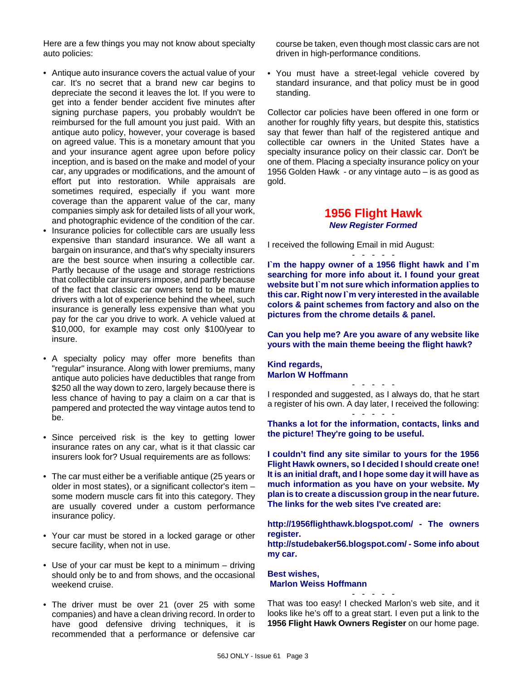Here are a few things you may not know about specialty auto policies:

- Antique auto insurance covers the actual value of your car. It's no secret that a brand new car begins to depreciate the second it leaves the lot. If you were to get into a fender bender accident five minutes after signing purchase papers, you probably wouldn't be reimbursed for the full amount you just paid. With an antique auto policy, however, your coverage is based on agreed value. This is a monetary amount that you and your insurance agent agree upon before policy inception, and is based on the make and model of your car, any upgrades or modifications, and the amount of effort put into restoration. While appraisals are sometimes required, especially if you want more coverage than the apparent value of the car, many companies simply ask for detailed lists of all your work, and photographic evidence of the condition of the car.
- Insurance policies for collectible cars are usually less expensive than standard insurance. We all want a bargain on insurance, and that's why specialty insurers are the best source when insuring a collectible car. Partly because of the usage and storage restrictions that collectible car insurers impose, and partly because of the fact that classic car owners tend to be mature drivers with a lot of experience behind the wheel, such insurance is generally less expensive than what you pay for the car you drive to work. A vehicle valued at \$10,000, for example may cost only \$100/year to insure.
- A specialty policy may offer more benefits than "regular" insurance. Along with lower premiums, many antique auto policies have deductibles that range from \$250 all the way down to zero, largely because there is less chance of having to pay a claim on a car that is pampered and protected the way vintage autos tend to be.
- Since perceived risk is the key to getting lower insurance rates on any car, what is it that classic car insurers look for? Usual requirements are as follows:
- The car must either be a verifiable antique (25 years or older in most states), or a significant collector's item – some modern muscle cars fit into this category. They are usually covered under a custom performance insurance policy.
- Your car must be stored in a locked garage or other secure facility, when not in use.
- Use of your car must be kept to a minimum driving should only be to and from shows, and the occasional weekend cruise.
- The driver must be over 21 (over 25 with some companies) and have a clean driving record. In order to have good defensive driving techniques, it is recommended that a performance or defensive car

course be taken, even though most classic cars are not driven in high-performance conditions.

• You must have a street-legal vehicle covered by standard insurance, and that policy must be in good standing.

Collector car policies have been offered in one form or another for roughly fifty years, but despite this, statistics say that fewer than half of the registered antique and collectible car owners in the United States have a specialty insurance policy on their classic car. Don't be one of them. Placing a specialty insurance policy on your 1956 Golden Hawk - or any vintage auto – is as good as gold.

### **1956 Flight Hawk** *New Register Formed*

I received the following Email in mid August:

**I`m the happy owner of a 1956 flight hawk and I`m searching for more info about it. I found your great website but I`m not sure which information applies to this car. Right now I`m very interested in the available colors & paint schemes from factory and also on the pictures from the chrome details & panel.** 

- - - - -

**Can you help me? Are you aware of any website like yours with the main theme beeing the flight hawk?**

#### **Kind regards, Marlon W Hoffmann**

- - - - - I responded and suggested, as I always do, that he start a register of his own. A day later, I received the following: - - - - -

**Thanks a lot for the information, contacts, links and the picture! They're going to be useful.**

**I couldn't find any site similar to yours for the 1956 Flight Hawk owners, so I decided I should create one! It is an initial draft, and I hope some day it will have as much information as you have on your website. My plan is to create a discussion group in the near future. The links for the web sites I've created are:**

**http://1956flighthawk.blogspot.com/ - The owners register. http://studebaker56.blogspot.com/ - Some info about my car.**

**Best wishes, Marlon Weiss Hoffmann**

That was too easy! I checked Marlon's web site, and it looks like he's off to a great start. I even put a link to the **1956 Flight Hawk Owners Register** on our home page.

- - - - -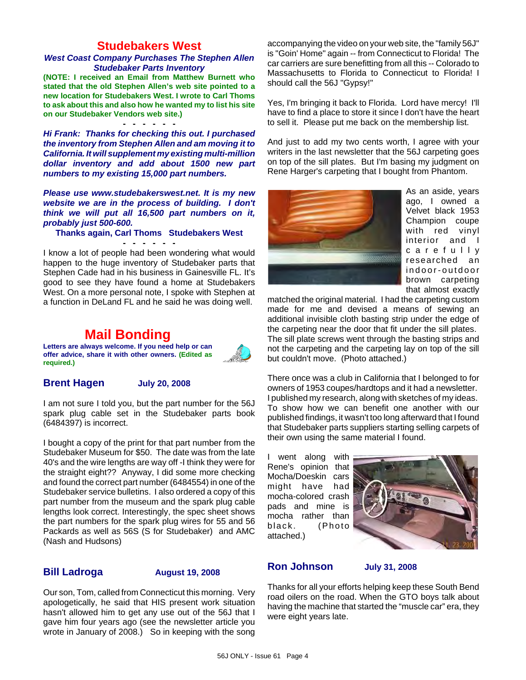## **Studebakers West**

#### *West Coast Company Purchases The Stephen Allen Studebaker Parts Inventory*

**(NOTE: I received an Email from Matthew Burnett who stated that the old Stephen Allen's web site pointed to a new location for Studebakers West. I wrote to Carl Thoms to ask about this and also how he wanted my to list his site on our Studebaker Vendors web site.)**

**- - - - - -** *Hi Frank: Thanks for checking this out. I purchased the inventory from Stephen Allen and am moving it to California. It will supplement my existing multi-million dollar inventory and add about 1500 new part numbers to my existing 15,000 part numbers.*

*Please use www.studebakerswest.net. It is my new website we are in the process of building. I don't think we will put all 16,500 part numbers on it, probably just 500-600.*

#### **Thanks again, Carl Thoms Studebakers West - - - - - -**

I know a lot of people had been wondering what would happen to the huge inventory of Studebaker parts that Stephen Cade had in his business in Gainesville FL. It's good to see they have found a home at Studebakers West. On a more personal note, I spoke with Stephen at a function in DeLand FL and he said he was doing well.

# **Mail Bonding**



**Letters are always welcome. If you need help or can offer advice, share it with other owners. (Edited as required.)**

#### **Brent Hagen July 20, 2008**

I am not sure I told you, but the part number for the 56J spark plug cable set in the Studebaker parts book (6484397) is incorrect.

I bought a copy of the print for that part number from the Studebaker Museum for \$50. The date was from the late 40's and the wire lengths are way off -I think they were for the straight eight?? Anyway, I did some more checking and found the correct part number (6484554) in one of the Studebaker service bulletins. I also ordered a copy of this part number from the museum and the spark plug cable lengths look correct. Interestingly, the spec sheet shows the part numbers for the spark plug wires for 55 and 56 Packards as well as 56S (S for Studebaker) and AMC (Nash and Hudsons)

#### **Bill Ladroga August 19, 2008**

Our son, Tom, called from Connecticut this morning. Very apologetically, he said that HIS present work situation hasn't allowed him to get any use out of the 56J that I gave him four years ago (see the newsletter article you wrote in January of 2008.) So in keeping with the song

accompanying the video on your web site, the "family 56J" is "Goin' Home" again -- from Connecticut to Florida! The car carriers are sure benefitting from all this -- Colorado to Massachusetts to Florida to Connecticut to Florida! I should call the 56J "Gypsy!"

Yes, I'm bringing it back to Florida. Lord have mercy! I'll have to find a place to store it since I don't have the heart to sell it. Please put me back on the membership list.

And just to add my two cents worth, I agree with your writers in the last newsletter that the 56J carpeting goes on top of the sill plates. But I'm basing my judgment on Rene Harger's carpeting that I bought from Phantom.



As an aside, years ago, I owned a Velvet black 1953 Champion coupe with red vinyl interior and I carefully researched an indoor-outdoor brown carpeting that almost exactly

matched the original material. I had the carpeting custom made for me and devised a means of sewing an additional invisible cloth basting strip under the edge of the carpeting near the door that fit under the sill plates.

The sill plate screws went through the basting strips and not the carpeting and the carpeting lay on top of the sill but couldn't move. (Photo attached.)

There once was a club in California that I belonged to for owners of 1953 coupes/hardtops and it had a newsletter. I published my research, along with sketches of my ideas. To show how we can benefit one another with our published findings, it wasn't too long afterward that I found that Studebaker parts suppliers starting selling carpets of their own using the same material I found.

I went along with Rene's opinion that Mocha/Doeskin cars might have had mocha-colored crash pads and mine is mocha rather than black. (Photo attached.)



## **Ron Johnson July 31, 2008**

Thanks for all your efforts helping keep these South Bend road oilers on the road. When the GTO boys talk about having the machine that started the "muscle car" era, they were eight years late.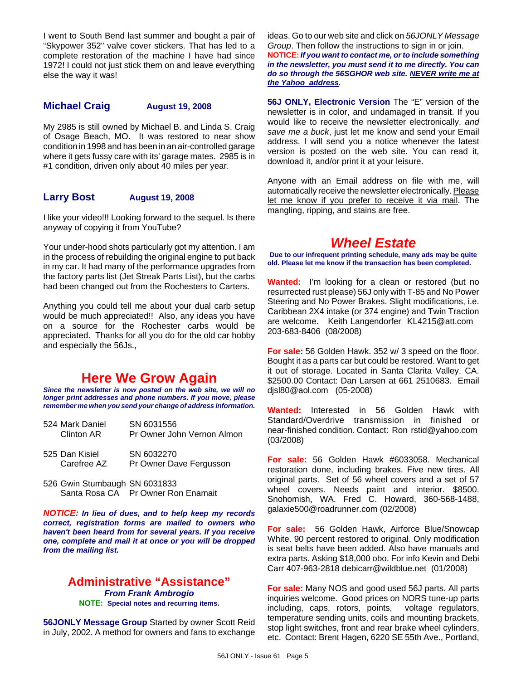I went to South Bend last summer and bought a pair of "Skypower 352" valve cover stickers. That has led to a complete restoration of the machine I have had since 1972! I could not just stick them on and leave everything else the way it was!

### **Michael Craig August 19, 2008**

My 2985 is still owned by Michael B. and Linda S. Craig of Osage Beach, MO. It was restored to near show condition in 1998 and has been in an air-controlled garage where it gets fussy care with its' garage mates. 2985 is in #1 condition, driven only about 40 miles per year.

## **Larry Bost August 19, 2008**

I like your video!!! Looking forward to the sequel. Is there anyway of copying it from YouTube?

Your under-hood shots particularly got my attention. I am in the process of rebuilding the original engine to put back in my car. It had many of the performance upgrades from the factory parts list (Jet Streak Parts List), but the carbs had been changed out from the Rochesters to Carters.

Anything you could tell me about your dual carb setup would be much appreciated!! Also, any ideas you have on a source for the Rochester carbs would be appreciated. Thanks for all you do for the old car hobby and especially the 56Js.,

# **Here We Grow Again**

*Since the newsletter is now posted on the web site, we will no longer print addresses and phone numbers. If you move, please remember me when you send your change of address information.*

| 524 Mark Daniel<br>Clinton AR | SN 6031556<br>Pr Owner John Vernon Almon |
|-------------------------------|------------------------------------------|
| 525 Dan Kisiel<br>Carefree AZ | SN 6032270<br>Pr Owner Dave Fergusson    |

526 Gwin Stumbaugh SN 6031833 Santa Rosa CA Pr Owner Ron Enamait

*NOTICE: In lieu of dues, and to help keep my records correct, registration forms are mailed to owners who haven't been heard from for several years. If you receive one, complete and mail it at once or you will be dropped from the mailing list.*

### **Administrative "Assistance"** *From Frank Ambrogio* **NOTE: Special notes and recurring items.**

**56JONLY Message Group** Started by owner Scott Reid in July, 2002. A method for owners and fans to exchange

ideas. Go to our web site and click on *56JONLY Message Group*. Then follow the instructions to sign in or join. **NOTICE:***If you want to contact me, or to include something in the newsletter, you must send it to me directly. You can do so through the 56SGHOR web site. NEVER write me at the Yahoo address.*

**56J ONLY, Electronic Version** The "E" version of the newsletter is in color, and undamaged in transit. If you would like to receive the newsletter electronically, *and save me a buck*, just let me know and send your Email address. I will send you a notice whenever the latest version is posted on the web site. You can read it, download it, and/or print it at your leisure.

Anyone with an Email address on file with me, will automatically receive the newsletter electronically. Please let me know if you prefer to receive it via mail. The mangling, ripping, and stains are free.

# *Wheel Estate*

**Due to our infrequent printing schedule, many ads may be quite old. Please let me know if the transaction has been completed.**

**Wanted:** I'm looking for a clean or restored (but no resurrected rust please) 56J only with T-85 and No Power Steering and No Power Brakes. Slight modifications, i.e. Caribbean 2X4 intake (or 374 engine) and Twin Traction are welcome. Keith Langendorfer KL4215@att.com 203-683-8406 (08/2008)

**For sale:** 56 Golden Hawk. 352 w/ 3 speed on the floor. Bought it as a parts car but could be restored. Want to get it out of storage. Located in Santa Clarita Valley, CA. \$2500.00 Contact: Dan Larsen at 661 2510683. Email djsl80@aol.com (05-2008)

**Wanted:** Interested in 56 Golden Hawk with Standard/Overdrive transmission in finished or near-finished condition. Contact: Ron rstid@yahoo.com (03/2008)

**For sale:** 56 Golden Hawk #6033058. Mechanical restoration done, including brakes. Five new tires. All original parts. Set of 56 wheel covers and a set of 57 wheel covers. Needs paint and interior. \$8500. Snohomish, WA. Fred C. Howard, 360-568-1488, galaxie500@roadrunner.com (02/2008)

**For sale:** 56 Golden Hawk, Airforce Blue/Snowcap White. 90 percent restored to original. Only modification is seat belts have been added. Also have manuals and extra parts. Asking \$18,000 obo. For info Kevin and Debi Carr 407-963-2818 debicarr@wildblue.net (01/2008)

**For sale:** Many NOS and good used 56J parts. All parts inquiries welcome. Good prices on NORS tune-up parts including, caps, rotors, points, voltage regulators, temperature sending units, coils and mounting brackets, stop light switches, front and rear brake wheel cylinders, etc. Contact: Brent Hagen, 6220 SE 55th Ave., Portland,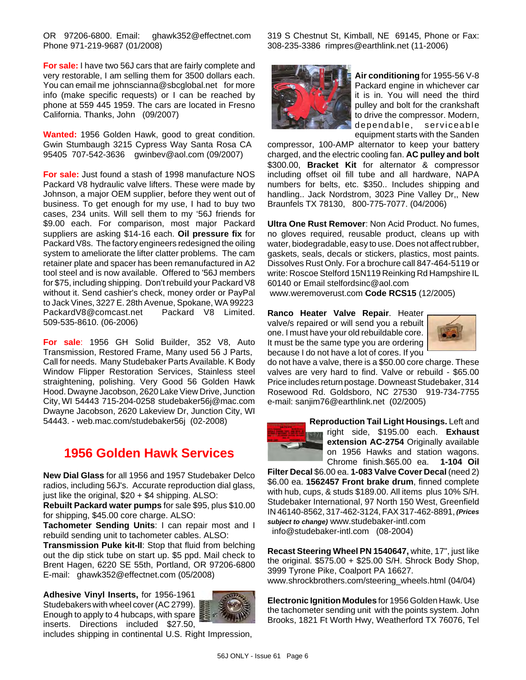OR 97206-6800. Email: ghawk352@effectnet.com Phone 971-219-9687 (01/2008)

**For sale:** I have two 56J cars that are fairly complete and very restorable, I am selling them for 3500 dollars each. You can email me johnscianna@sbcglobal.net for more info (make specific requests) or I can be reached by phone at 559 445 1959. The cars are located in Fresno California. Thanks, John (09/2007)

**Wanted:** 1956 Golden Hawk, good to great condition. Gwin Stumbaugh 3215 Cypress Way Santa Rosa CA 95405 707-542-3636 gwinbev@aol.com (09/2007)

**For sale:** Just found a stash of 1998 manufacture NOS Packard V8 hydraulic valve lifters. These were made by Johnson, a major OEM supplier, before they went out of business. To get enough for my use, I had to buy two cases, 234 units. Will sell them to my '56J friends for \$9.00 each. For comparison, most major Packard suppliers are asking \$14-16 each. **Oil pressure fix** for Packard V8s. The factory engineers redesigned the oiling system to ameliorate the lifter clatter problems. The cam retainer plate and spacer has been remanufactured in A2 tool steel and is now available. Offered to '56J members for \$75, including shipping. Don't rebuild your Packard V8 without it. Send cashier's check, money order or PayPal to Jack Vines, 3227 E. 28th Avenue, Spokane, WA 99223 PackardV8@comcast.net Packard V8 Limited. 509-535-8610. (06-2006)

**For sale**: 1956 GH Solid Builder, 352 V8, Auto Transmission, Restored Frame, Many used 56 J Parts, Call for needs. Many Studebaker Parts Available. K Body Window Flipper Restoration Services, Stainless steel straightening, polishing. Very Good 56 Golden Hawk Hood. Dwayne Jacobson, 2620 Lake View Drive, Junction City, WI 54443 715-204-0258 studebaker56j@mac.com Dwayne Jacobson, 2620 Lakeview Dr, Junction City, WI 54443. - web.mac.com/studebaker56j (02-2008)

# **1956 Golden Hawk Services**

**New Dial Glass** for all 1956 and 1957 Studebaker Delco radios, including 56J's. Accurate reproduction dial glass, just like the original, \$20 + \$4 shipping. ALSO:

**Rebuilt Packard water pumps** for sale \$95, plus \$10.00 for shipping, \$45.00 core charge. ALSO:

**Tachometer Sending Units**: I can repair most and I rebuild sending unit to tachometer cables. ALSO:

**Transmission Puke kit-II**: Stop that fluid from belching out the dip stick tube on start up. \$5 ppd. Mail check to Brent Hagen, 6220 SE 55th, Portland, OR 97206-6800 E-mail: ghawk352@effectnet.com (05/2008)

**Adhesive Vinyl Inserts,** for 1956-1961 Studebakers with wheel cover (AC 2799). Enough to apply to 4 hubcaps, with spare

inserts. Directions included \$27.50,



includes shipping in continental U.S. Right Impression,

319 S Chestnut St, Kimball, NE 69145, Phone or Fax: 308-235-3386 rimpres@earthlink.net (11-2006)



**Air conditioning** for 1955-56 V-8 Packard engine in whichever car it is in. You will need the third pulley and bolt for the crankshaft to drive the compressor. Modern, dependable, serviceable equipment starts with the Sanden

compressor, 100-AMP alternator to keep your battery charged, and the electric cooling fan. **AC pulley and bolt** \$300.00, **Bracket Kit** for alternator & compressor including offset oil fill tube and all hardware, NAPA numbers for belts, etc. \$350.. Includes shipping and handling.. Jack Nordstrom, 3023 Pine Valley Dr,, New Braunfels TX 78130, 800-775-7077. (04/2006)

**Ultra One Rust Remover**: Non Acid Product. No fumes, no gloves required, reusable product, cleans up with water, biodegradable, easy to use. Does not affect rubber, gaskets, seals, decals or stickers, plastics, most paints. Dissolves Rust Only. For a brochure call 847-464-5119 or write: Roscoe Stelford 15N119 Reinking Rd Hampshire IL 60140 or Email stelfordsinc@aol.com

www.weremoverust.com **Code RCS15** (12/2005)

**Ranco Heater Valve Repair**. Heater valve/s repaired or will send you a rebuilt one. I must have your old rebuildable core. It must be the same type you are ordering because I do not have a lot of cores. If you



do not have a valve, there is a \$50.00 core charge. These valves are very hard to find. Valve or rebuild - \$65.00 Price includes return postage. Downeast Studebaker, 314 Rosewood Rd. Goldsboro, NC 27530 919-734-7755 e-mail: sanjim76@earthlink.net (02/2005)

> **Reproduction Tail Light Housings.** Left and right side, \$195.00 each. **Exhaust extension AC-2754** Originally available on 1956 Hawks and station wagons. Chrome finish.\$65.00 ea. **1-104 Oil**

**Filter Decal** \$6.00 ea. **1-083 Valve Cover Decal** (need 2) \$6.00 ea. **1562457 Front brake drum**, finned complete with hub, cups, & studs \$189.00. All items plus 10% S/H. Studebaker International, 97 North 150 West, Greenfield IN 46140-8562, 317-462-3124, FAX 317-462-8891, *(Prices subject to change)* www.studebaker-intl.com info@studebaker-intl.com (08-2004)

**Recast Steering Wheel PN 1540647,** white, 17", just like the original.  $$575.00 + $25.00$  S/H. Shrock Body Shop, 3999 Tyrone Pike, Coalport PA 16627. www.shrockbrothers.com/steering\_wheels.html (04/04)

**Electronic Ignition Modules** for 1956 Golden Hawk. Use the tachometer sending unit with the points system. John Brooks, 1821 Ft Worth Hwy, Weatherford TX 76076, Tel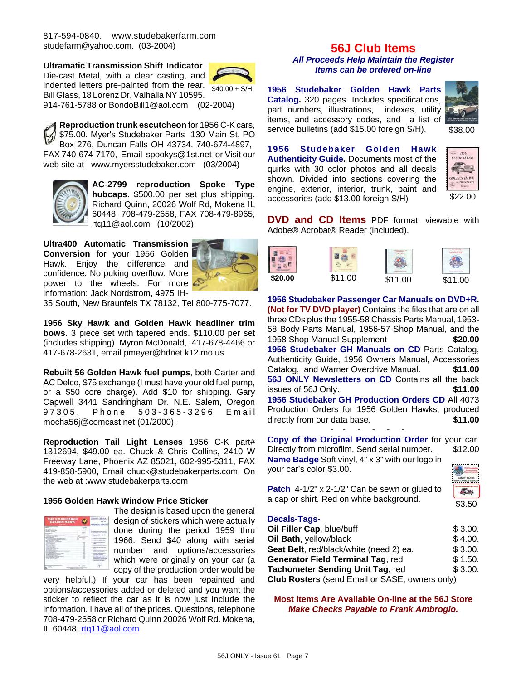817-594-0840. www.studebakerfarm.com studefarm@yahoo.com. (03-2004)

**Ultramatic Transmission Shift Indicator**. Die-cast Metal, with a clear casting, and

 $$40.00 + S/H$ indented letters pre-painted from the rear.

Bill Glass, 18 Lorenz Dr, Valhalla NY 10595. 914-761-5788 or BondoBill1@aol.com (02-2004)

**Reproduction trunk escutcheon** for 1956 C-K cars, \$75.00. Myer's Studebaker Parts 130 Main St, PO Box 276, Duncan Falls OH 43734. 740-674-4897, FAX 740-674-7170, Email spookys@1st.net or Visit our web site at www.myersstudebaker.com (03/2004)



**AC-2799 reproduction Spoke Type hubcaps**. \$500.00 per set plus shipping. Richard Quinn, 20026 Wolf Rd, Mokena IL 60448, 708-479-2658, FAX 708-479-8965, rtq11@aol.com (10/2002)

**Ultra400 Automatic Transmission Conversion** for your 1956 Golden Hawk. Enjoy the difference and confidence. No puking overflow. More power to the wheels. For more information: Jack Nordstrom, 4975 IH-



35 South, New Braunfels TX 78132, Tel 800-775-7077.

**1956 Sky Hawk and Golden Hawk headliner trim bows.** 3 piece set with tapered ends. \$110.00 per set (includes shipping). Myron McDonald, 417-678-4466 or 417-678-2631, email pmeyer@hdnet.k12.mo.us

**Rebuilt 56 Golden Hawk fuel pumps**, both Carter and AC Delco, \$75 exchange (I must have your old fuel pump, or a \$50 core charge). Add \$10 for shipping. Gary Capwell 3441 Sandringham Dr. N.E. Salem, Oregon 97305, Phone 503-365-3296 Email mocha56j@comcast.net (01/2000).

**Reproduction Tail Light Lenses** 1956 C-K part# 1312694, \$49.00 ea. Chuck & Chris Collins, 2410 W Freeway Lane, Phoenix AZ 85021, 602-995-5311, FAX 419-858-5900, Email chuck@studebakerparts.com. On the web at :www.studebakerparts.com

#### **1956 Golden Hawk Window Price Sticker**

| <b>THE STUDEBAKER</b><br>GOLDEN HAWK<br>------ | timent       |
|------------------------------------------------|--------------|
|                                                |              |
| ÷                                              |              |
| -<br>                                          |              |
|                                                | ٠<br><br>--- |
|                                                |              |

The design is based upon the general design of stickers which were actually done during the period 1959 thru 1966. Send \$40 along with serial number and options/accessories which were originally on your car (a copy of the production order would be

very helpful.) If your car has been repainted and options/accessories added or deleted and you want the sticker to reflect the car as it is now just include the information. I have all of the prices. Questions, telephone 708-479-2658 or Richard Quinn 20026 Wolf Rd. Mokena, IL 60448. rtq11@aol.com

#### **56J Club Items** *All Proceeds Help Maintain the Register Items can be ordered on-line*

**1956 Studebaker Golden Hawk Parts Catalog.** 320 pages. Includes specifications, part numbers, illustrations, indexes, utility items, and accessory codes, and a list of service bulletins (add \$15.00 foreign S/H).



**1956 Studebaker Golden Hawk Authenticity Guide.** Documents most of the quirks with 30 color photos and all decals shown. Divided into sections covering the engine, exterior, interior, trunk, paint and accessories (add \$13.00 foreign S/H)



**DVD and CD Items** PDF format, viewable with Adobe® Acrobat® Reader (included).



**1956 Studebaker Passenger Car Manuals on DVD+R. (Not for TV DVD player)** Contains the files that are on all three CDs plus the 1955-58 Chassis Parts Manual, 1953- 58 Body Parts Manual, 1956-57 Shop Manual, and the 1958 Shop Manual Supplement **\$20.00 1956 Studebaker GH Manuals on CD** Parts Catalog, Authenticity Guide, 1956 Owners Manual, Accessories Catalog, and Warner Overdrive Manual. **\$11.00 56J ONLY Newsletters on CD** Contains all the back issues of 56J Only. **\$11.00 1956 Studebaker GH Production Orders CD** All 4073 Production Orders for 1956 Golden Hawks, produced directly from our data base. **\$11.00** - - - - - -

**Copy of the Original Production Order** for your car. Directly from microfilm, Send serial number. \$12.00 **Name Badge** Soft vinyl, 4" x 3" with our logo in **CAN THE R** your car's color \$3.00.

| <b>Patch</b> 4-1/2" $\times$ 2-1/2" Can be sewn or glued to |  |
|-------------------------------------------------------------|--|
| a cap or shirt. Red on white background.                    |  |

| l<br>Ē<br><br>٠ |
|-----------------|
|                 |
|                 |

#### **Decals-Tags-**

| Oil Filler Cap, blue/buff                      | \$3.00. |
|------------------------------------------------|---------|
| Oil Bath, yellow/black                         | \$4.00. |
| Seat Belt, red/black/white (need 2) ea.        | \$3.00. |
| Generator Field Terminal Tag, red              | \$1.50. |
| <b>Tachometer Sending Unit Tag, red</b>        | \$3.00. |
| Club Rosters (send Email or SASE, owners only) |         |

**Most Items Are Available On-line at the 56J Store** *Make Checks Payable to Frank Ambrogio.*